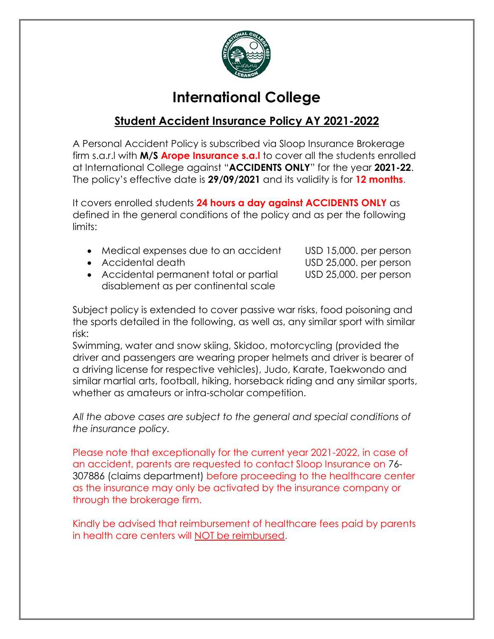

# **International College**

## **Student Accident Insurance Policy AY 2021-2022**

A Personal Accident Policy is subscribed via Sloop Insurance Brokerage firm s.a.r.l with **M/S Arope Insurance s.a.l** to cover all the students enrolled at International College against "**ACCIDENTS ONLY**" for the year **2021-22**. The policy's effective date is **29/09/2021** and its validity is for **12 months**.

It covers enrolled students **24 hours a day against ACCIDENTS ONLY** as defined in the general conditions of the policy and as per the following limits:

- Medical expenses due to an accident USD 15,000. per person
- 
- Accidental permanent total or partial USD 25,000. per person disablement as per continental scale

Accidental death USD 25,000. per person

Subject policy is extended to cover passive war risks, food poisoning and the sports detailed in the following, as well as, any similar sport with similar risk:

Swimming, water and snow skiing, Skidoo, motorcycling (provided the driver and passengers are wearing proper helmets and driver is bearer of a driving license for respective vehicles), Judo, Karate, Taekwondo and similar martial arts, football, hiking, horseback riding and any similar sports, whether as amateurs or intra-scholar competition.

*All the above cases are subject to the general and special conditions of the insurance policy.*

Please note that exceptionally for the current year 2021-2022, in case of an accident, parents are requested to contact Sloop Insurance on 76- 307886 (claims department) before proceeding to the healthcare center as the insurance may only be activated by the insurance company or through the brokerage firm.

Kindly be advised that reimbursement of healthcare fees paid by parents in health care centers will NOT be reimbursed.